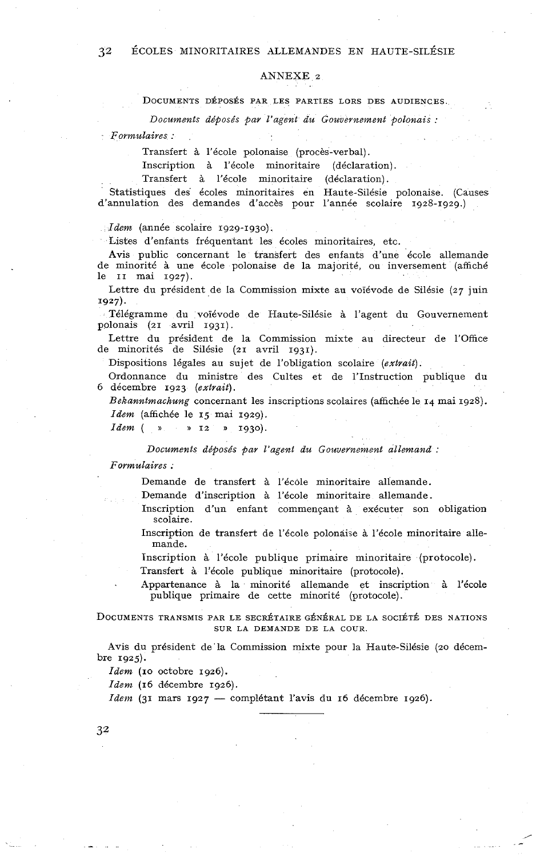## *32* ÉCOLES MINORITAIRES ALLEMANDES EN HAUTE-SILÉSIE

## ANNEXE 2

*Documents déposés par l'agent du Gouvernement polonais* :

*Formulaires* :

Transfert à l'école polonaise (procès-verbal).

Inscription à l'école minoritaire (déclaration).

Transfert à l'école minoritaire (déclaration).

Statistiques des écoles minoritaires en Haute-Silésie polonaise. (Causes d'annulation des demandes d'accès pour l'année scolaire 1928-1929.)

*Idem* (année scolaire 1929-1930).

Listes d'enfants fréquentant les écoles minoritaires, etc.

Avis public concernant le transfert des enfants d'une école allemande de minorité à une école polonaise de la majorité, ou inversement (affiché le II mai 1927).

Lettre du président de la Commission mixte au voïévode de Silésie (27 juin 1927).

Télégramme du voïévode de Haute-Silésie à l'agent du Gouvernement polonais (21 avril 1931).

Lettre du président de la Commission mixte au directeur de l'Office de minorités de Silésie (21 avril 1931).

Dispositions légales au sujet de l'obligation scolaire *(extrait).* 

Ordonnance du ministre des Cultes et de l'Instruction publique du 6 décembre 1923 *(extrait).* 

*Bekanntmachung* concernant les inscriptions scolaires (affichée le 14 mai 1928). *Idem* (affichée le 15 mai 1929).

*Idem* (  $\sqrt{ }$   $\sqrt{ }$  12  $\sqrt{ }$  1930).

*Documents déposés par l'agent du Gouvernement allemand* :

*Fovmulaires* .

Demande de transfert à l'école minoritaire allemande.

Demande d'inscription à l'école minoritaire allemande.

Inscription d'un enfant commençant à exécuter son obligation scolaire.

Inscription de transfert de l'école polonaise à l'école minoritaire allemande.

Inscription à l'école publique primaire minoritaire (protocole).

Transfert à l'école publique minoritaire (protocole).

. Appartenance à la minorité allemande et inscription à l'école publique primaire de cette minorité (protocole).

DOCUMENTS TRANSMIS PAR LE SECRÉTAIRE GÉNÉRAL DE LA SOCIÉTÉ DES NATIONS SUR LA DEMANDE DE LA COUR.

Avis du président de'la Commission mixte pour la Haute-Silésie (20 décembre 1925).

*Idem (IO* octobre 1926).

*Idem* (16 décembre 1926).

*Idem* (31 mars 1927 - complétant l'avis du 16 décembre 1926).